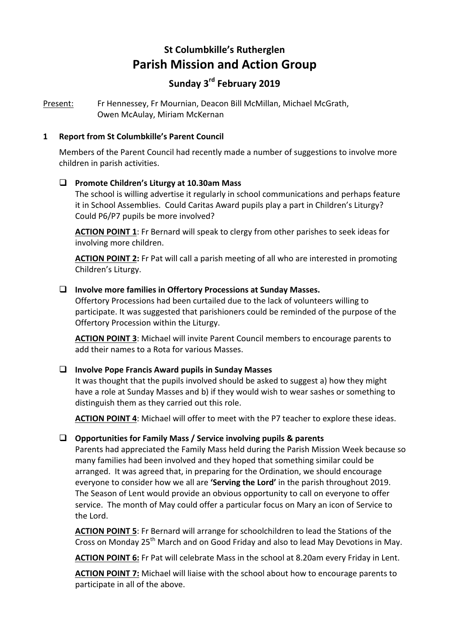# **St Columbkille's Rutherglen Parish Mission and Action Group**

# **Sunday 3rd February 2019**

Present: Fr Hennessey, Fr Mournian, Deacon Bill McMillan, Michael McGrath, Owen McAulay, Miriam McKernan

# **1** Report from St Columbkille's Parent Council

Members of the Parent Council had recently made a number of suggestions to involve more children in parish activities.

# □ Promote Children's Liturgy at 10.30am Mass

The school is willing advertise it regularly in school communications and perhaps feature it in School Assemblies. Could Caritas Award pupils play a part in Children's Liturgy? Could P6/P7 pupils be more involved?

ACTION POINT 1: Fr Bernard will speak to clergy from other parishes to seek ideas for involving more children.

**ACTION POINT 2:** Fr Pat will call a parish meeting of all who are interested in promoting Children's Liturgy.

#### □ Involve more families in Offertory Processions at Sunday Masses.

Offertory Processions had been curtailed due to the lack of volunteers willing to participate. It was suggested that parishioners could be reminded of the purpose of the Offertory Procession within the Liturgy.

**ACTION POINT 3:** Michael will invite Parent Council members to encourage parents to add their names to a Rota for various Masses.

# □ Involve Pope Francis Award pupils in Sunday Masses

It was thought that the pupils involved should be asked to suggest a) how they might have a role at Sunday Masses and b) if they would wish to wear sashes or something to distinguish them as they carried out this role.

**ACTION POINT 4:** Michael will offer to meet with the P7 teacher to explore these ideas.

# □ Opportunities for Family Mass / Service involving pupils & parents

Parents had appreciated the Family Mass held during the Parish Mission Week because so many families had been involved and they hoped that something similar could be arranged. It was agreed that, in preparing for the Ordination, we should encourage everyone to consider how we all are **'Serving the Lord'** in the parish throughout 2019. The Season of Lent would provide an obvious opportunity to call on everyone to offer service. The month of May could offer a particular focus on Mary an icon of Service to the Lord.

**ACTION POINT 5:** Fr Bernard will arrange for schoolchildren to lead the Stations of the Cross on Monday  $25<sup>th</sup>$  March and on Good Friday and also to lead May Devotions in May.

**ACTION POINT 6:** Fr Pat will celebrate Mass in the school at 8.20am every Friday in Lent.

**ACTION POINT 7:** Michael will liaise with the school about how to encourage parents to participate in all of the above.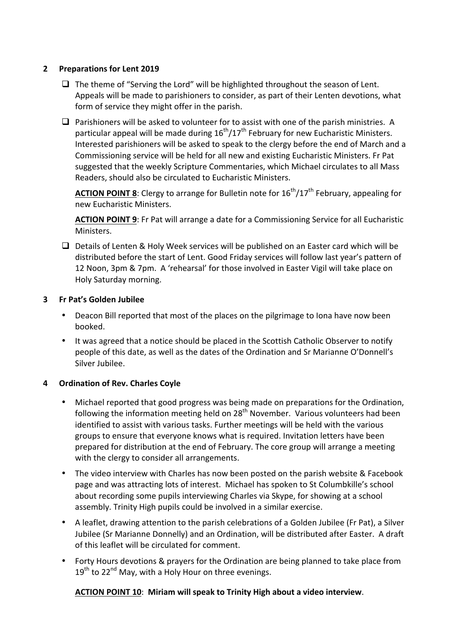#### **2 Preparations for Lent 2019**

- $\Box$  The theme of "Serving the Lord" will be highlighted throughout the season of Lent. Appeals will be made to parishioners to consider, as part of their Lenten devotions, what form of service they might offer in the parish.
- $\Box$  Parishioners will be asked to volunteer for to assist with one of the parish ministries. A particular appeal will be made during  $16^{th}/17^{th}$  February for new Eucharistic Ministers. Interested parishioners will be asked to speak to the clergy before the end of March and a Commissioning service will be held for all new and existing Eucharistic Ministers. Fr Pat suggested that the weekly Scripture Commentaries, which Michael circulates to all Mass Readers, should also be circulated to Eucharistic Ministers.

**ACTION POINT 8:** Clergy to arrange for Bulletin note for  $16^{th}/17^{th}$  February, appealing for new Eucharistic Ministers.

**ACTION POINT 9:** Fr Pat will arrange a date for a Commissioning Service for all Eucharistic Ministers.

 $\Box$  Details of Lenten & Holy Week services will be published on an Easter card which will be distributed before the start of Lent. Good Friday services will follow last year's pattern of 12 Noon, 3pm & 7pm. A 'rehearsal' for those involved in Easter Vigil will take place on Holy Saturday morning.

#### **3 Fr Pat's Golden Jubilee**

- Deacon Bill reported that most of the places on the pilgrimage to Iona have now been booked.
- It was agreed that a notice should be placed in the Scottish Catholic Observer to notify people of this date, as well as the dates of the Ordination and Sr Marianne O'Donnell's Silver Jubilee.

# **4 Ordination of Rev. Charles Coyle**

- Michael reported that good progress was being made on preparations for the Ordination, following the information meeting held on  $28<sup>th</sup>$  November. Various volunteers had been identified to assist with various tasks. Further meetings will be held with the various groups to ensure that everyone knows what is required. Invitation letters have been prepared for distribution at the end of February. The core group will arrange a meeting with the clergy to consider all arrangements.
- The video interview with Charles has now been posted on the parish website & Facebook page and was attracting lots of interest. Michael has spoken to St Columbkille's school about recording some pupils interviewing Charles via Skype, for showing at a school assembly. Trinity High pupils could be involved in a similar exercise.
- A leaflet, drawing attention to the parish celebrations of a Golden Jubilee (Fr Pat), a Silver Jubilee (Sr Marianne Donnelly) and an Ordination, will be distributed after Easter. A draft of this leaflet will be circulated for comment.
- Forty Hours devotions & prayers for the Ordination are being planned to take place from  $19<sup>th</sup>$  to 22<sup>nd</sup> May, with a Holy Hour on three evenings.

# ACTION POINT 10: Miriam will speak to Trinity High about a video interview.